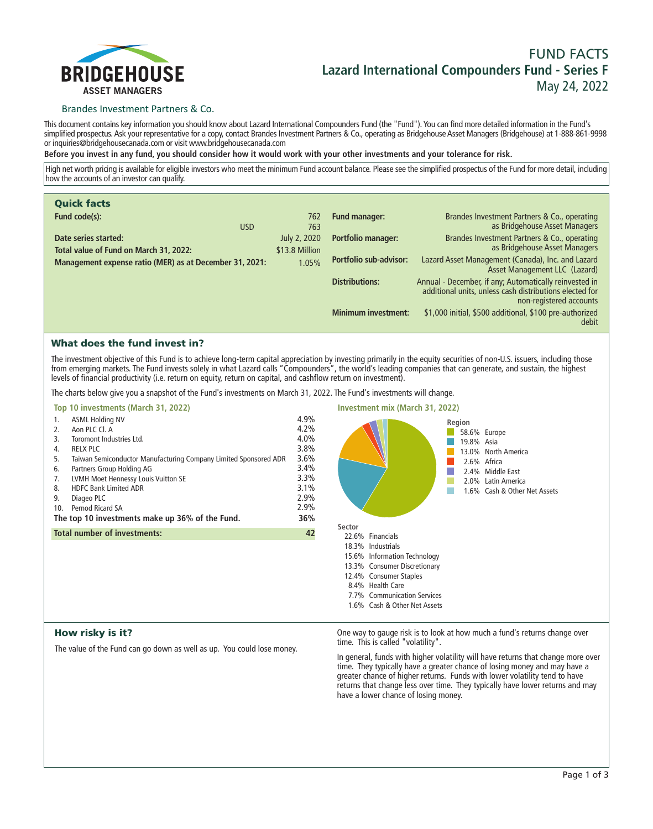

# **FUND FACTS Lazard International Compounders Fund - Series F May 24, 2022**

## Brandes Investment Partners & Co.

**This document contains key information you should know about Lazard International Compounders Fund (the "Fund"). You can find more detailed information in the Fund's simplified prospectus. Ask your representative for a copy, contact Brandes Investment Partners & Co., operating as Bridgehouse Asset Managers (Bridgehouse) at 1-888-861-9998 or inquiries@bridgehousecanada.com or visit www.bridgehousecanada.com**

**Before you invest in any fund, you should consider how it would work with your other investments and your tolerance for risk.**

**High net worth pricing is available for eligible investors who meet the minimum Fund account balance. Please see the simplified prospectus of the Fund for more detail, including how the accounts of an investor can qualify.**

| <b>Quick facts</b>                                             |                                |                               |                                                                                                                                              |
|----------------------------------------------------------------|--------------------------------|-------------------------------|----------------------------------------------------------------------------------------------------------------------------------------------|
| Fund code(s):<br><b>USD</b>                                    | 762<br>763                     | <b>Fund manager:</b>          | Brandes Investment Partners & Co., operating<br>as Bridgehouse Asset Managers                                                                |
| Date series started:<br>Total value of Fund on March 31, 2022: | July 2, 2020<br>\$13.8 Million | <b>Portfolio manager:</b>     | Brandes Investment Partners & Co., operating<br>as Bridgehouse Asset Managers                                                                |
| Management expense ratio (MER) as at December 31, 2021:        | 1.05%                          | <b>Portfolio sub-advisor:</b> | Lazard Asset Management (Canada), Inc. and Lazard<br>Asset Management LLC (Lazard)                                                           |
|                                                                |                                | <b>Distributions:</b>         | Annual - December, if any; Automatically reinvested in<br>additional units, unless cash distributions elected for<br>non-registered accounts |
|                                                                |                                | <b>Minimum investment:</b>    | \$1,000 initial, \$500 additional, \$100 pre-authorized<br>debit                                                                             |

## What does the fund invest in?

**The investment objective of this Fund is to achieve long-term capital appreciation by investing primarily in the equity securities of non-U.S. issuers, including those from emerging markets. The Fund invests solely in what Lazard calls "Compounders", the world's leading companies that can generate, and sustain, the highest levels of financial productivity (i.e. return on equity, return on capital, and cashflow return on investment).**

**The charts below give you a snapshot of the Fund's investments on March 31, 2022. The Fund's investments will change.**

# **Top 10 investments (March 31, 2022) 1. ASML Holding NV 4.9% 2. Aon PLC Cl. A 4.2% 3. Toromont Industries Ltd. 4.0% 4. RELX PLC 3.8% 5. Taiwan Semiconductor Manufacturing Company Limited Sponsored ADR 3.6% 6. Partners Group Holding AG 3.4% 7. LVMH Moet Hennessy Louis Vuitton SE 3.3% 8. HDFC Bank Limited ADR 3.1% 9. Diageo PLC 2.9%** 10. Pernod Ricard SA **The top 10 investments make up 36% of the Fund. 36% Total number of investments: 42**



# How risky is it?

**The value of the Fund can go down as well as up. You could lose money.**

**One way to gauge risk is to look at how much a fund's returns change over time. This is called "volatility".**

**In general, funds with higher volatility will have returns that change more over time. They typically have a greater chance of losing money and may have a greater chance of higher returns. Funds with lower volatility tend to have returns that change less over time. They typically have lower returns and may have a lower chance of losing money.**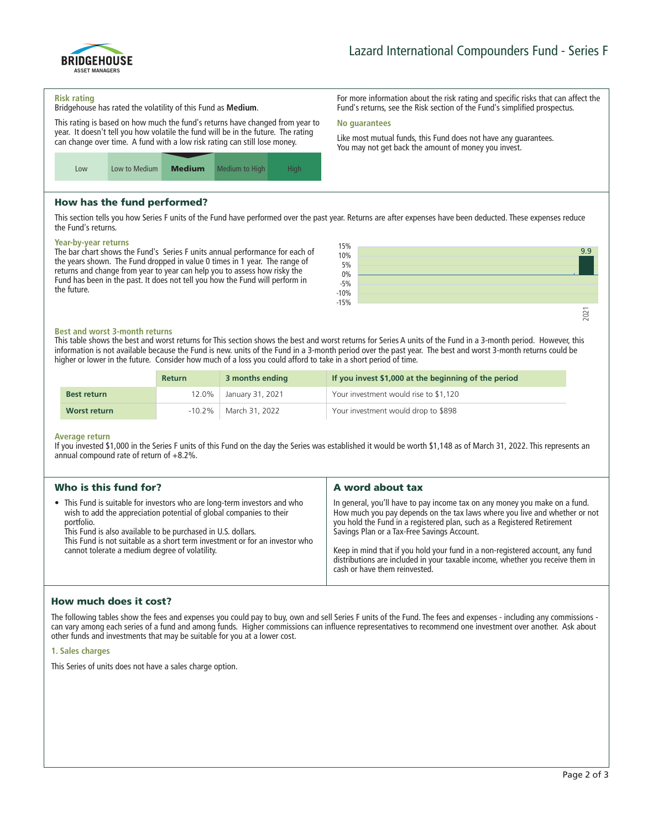

**For more information about the risk rating and specific risks that can affect the Fund's returns, see the Risk section of the Fund's simplified prospectus.**

**Like most mutual funds, this Fund does not have any guarantees. You may not get back the amount of money you invest.**

#### **Risk rating**

**Bridgehouse has rated the volatility of this Fund as Medium.**

**This rating is based on how much the fund's returns have changed from year to year. It doesn't tell you how volatile the fund will be in the future. The rating can change over time. A fund with a low risk rating can still lose money.**



# How has the fund performed?

**This section tells you how Series F units of the Fund have performed over the past year. Returns are after expenses have been deducted. These expenses reduce the Fund's returns.**

**No guarantees**

#### **Year-by-year returns**

**The bar chart shows the Fund's Series F units annual performance for each of the years shown. The Fund dropped in value 0 times in 1 year. The range of returns and change from year to year can help you to assess how risky the Fund has been in the past. It does not tell you how the Fund will perform in the future.**



#### **Best and worst 3-month returns**

**This table shows the best and worst returns for This section shows the best and worst returns for Series A units of the Fund in a 3-month period. However, this information is not available because the Fund is new. units of the Fund in a 3-month period over the past year. The best and worst 3-month returns could be higher or lower in the future. Consider how much of a loss you could afford to take in a short period of time.**

|                    | <b>Return</b> | 3 months ending            | If you invest \$1,000 at the beginning of the period |
|--------------------|---------------|----------------------------|------------------------------------------------------|
| <b>Best return</b> |               | 12.0%   January 31, 2021   | Your investment would rise to \$1,120                |
| Worst return       |               | $-10.2\%$   March 31, 2022 | Your investment would drop to \$898                  |

#### **Average return**

**If you invested \$1,000 in the Series F units of this Fund on the day the Series was established it would be worth \$1,148 as of March 31, 2022. This represents an annual compound rate of return of +8.2%.**

| Who is this fund for?                                                                                                                                                                                                                                                                                                                                           | A word about tax                                                                                                                                                                                                                                                                                                                                                                                                                                                                       |
|-----------------------------------------------------------------------------------------------------------------------------------------------------------------------------------------------------------------------------------------------------------------------------------------------------------------------------------------------------------------|----------------------------------------------------------------------------------------------------------------------------------------------------------------------------------------------------------------------------------------------------------------------------------------------------------------------------------------------------------------------------------------------------------------------------------------------------------------------------------------|
| • This Fund is suitable for investors who are long-term investors and who<br>wish to add the appreciation potential of global companies to their<br>portfolio.<br>This Fund is also available to be purchased in U.S. dollars.<br>This Fund is not suitable as a short term investment or for an investor who<br>cannot tolerate a medium degree of volatility. | In general, you'll have to pay income tax on any money you make on a fund.<br>How much you pay depends on the tax laws where you live and whether or not<br>you hold the Fund in a registered plan, such as a Registered Retirement<br>Savings Plan or a Tax-Free Savings Account.<br>Keep in mind that if you hold your fund in a non-registered account, any fund<br>distributions are included in your taxable income, whether you receive them in<br>cash or have them reinvested. |

## How much does it cost?

**The following tables show the fees and expenses you could pay to buy, own and sell Series F units of the Fund. The fees and expenses - including any commissions can vary among each series of a fund and among funds. Higher commissions can influence representatives to recommend one investment over another. Ask about other funds and investments that may be suitable for you at a lower cost.**

### **1. Sales charges**

**This Series of units does not have a sales charge option.**